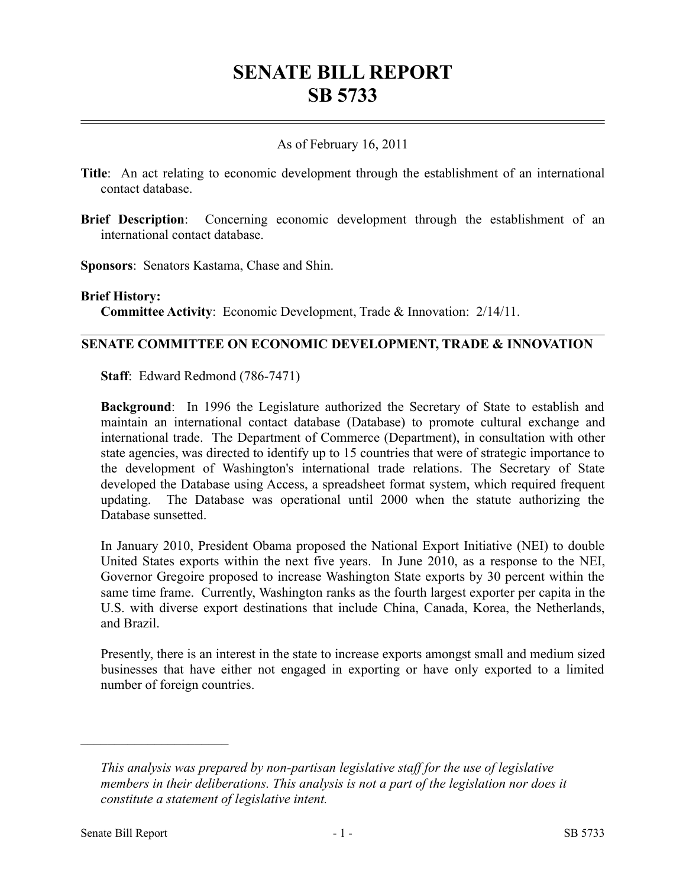# **SENATE BILL REPORT SB 5733**

# As of February 16, 2011

- **Title**: An act relating to economic development through the establishment of an international contact database.
- **Brief Description**: Concerning economic development through the establishment of an international contact database.

**Sponsors**: Senators Kastama, Chase and Shin.

#### **Brief History:**

**Committee Activity**: Economic Development, Trade & Innovation: 2/14/11.

# **SENATE COMMITTEE ON ECONOMIC DEVELOPMENT, TRADE & INNOVATION**

**Staff**: Edward Redmond (786-7471)

**Background**: In 1996 the Legislature authorized the Secretary of State to establish and maintain an international contact database (Database) to promote cultural exchange and international trade. The Department of Commerce (Department), in consultation with other state agencies, was directed to identify up to 15 countries that were of strategic importance to the development of Washington's international trade relations. The Secretary of State developed the Database using Access, a spreadsheet format system, which required frequent updating. The Database was operational until 2000 when the statute authorizing the Database sunsetted.

In January 2010, President Obama proposed the National Export Initiative (NEI) to double United States exports within the next five years. In June 2010, as a response to the NEI, Governor Gregoire proposed to increase Washington State exports by 30 percent within the same time frame. Currently, Washington ranks as the fourth largest exporter per capita in the U.S. with diverse export destinations that include China, Canada, Korea, the Netherlands, and Brazil.

Presently, there is an interest in the state to increase exports amongst small and medium sized businesses that have either not engaged in exporting or have only exported to a limited number of foreign countries.

––––––––––––––––––––––

*This analysis was prepared by non-partisan legislative staff for the use of legislative members in their deliberations. This analysis is not a part of the legislation nor does it constitute a statement of legislative intent.*